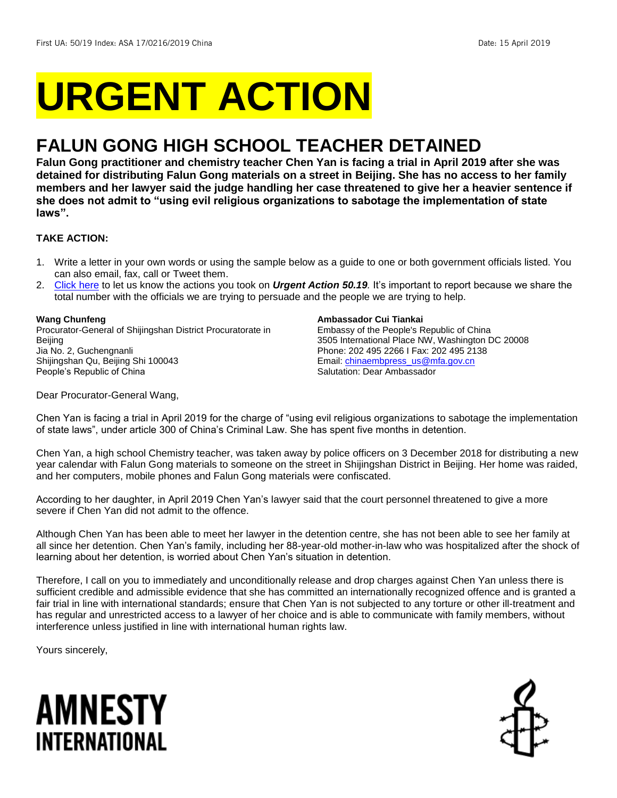# **URGENT ACTION**

## **FALUN GONG HIGH SCHOOL TEACHER DETAINED**

**Falun Gong practitioner and chemistry teacher Chen Yan is facing a trial in April 2019 after she was detained for distributing Falun Gong materials on a street in Beijing. She has no access to her family members and her lawyer said the judge handling her case threatened to give her a heavier sentence if she does not admit to "using evil religious organizations to sabotage the implementation of state laws".**

#### **TAKE ACTION:**

- 1. Write a letter in your own words or using the sample below as a guide to one or both government officials listed. You can also email, fax, call or Tweet them.
- 2. [Click here](https://www.amnestyusa.org/report-urgent-actions/) to let us know the actions you took on *Urgent Action 50.19.* It's important to report because we share the total number with the officials we are trying to persuade and the people we are trying to help.

#### **Wang Chunfeng**

Procurator-General of Shijingshan District Procuratorate in Beijing Jia No. 2, Guchengnanli Shijingshan Qu, Beijing Shi 100043 People's Republic of China

#### **Ambassador Cui Tiankai**

Embassy of the People's Republic of China 3505 International Place NW, Washington DC 20008 Phone: 202 495 2266 I Fax: 202 495 2138 Email[: chinaembpress\\_us@mfa.gov.cn](mailto:chinaembpress_us@mfa.gov.cn) Salutation: Dear Ambassador

Dear Procurator-General Wang,

Chen Yan is facing a trial in April 2019 for the charge of "using evil religious organizations to sabotage the implementation of state laws", under article 300 of China's Criminal Law. She has spent five months in detention.

Chen Yan, a high school Chemistry teacher, was taken away by police officers on 3 December 2018 for distributing a new year calendar with Falun Gong materials to someone on the street in Shijingshan District in Beijing. Her home was raided, and her computers, mobile phones and Falun Gong materials were confiscated.

According to her daughter, in April 2019 Chen Yan's lawyer said that the court personnel threatened to give a more severe if Chen Yan did not admit to the offence.

Although Chen Yan has been able to meet her lawyer in the detention centre, she has not been able to see her family at all since her detention. Chen Yan's family, including her 88-year-old mother-in-law who was hospitalized after the shock of learning about her detention, is worried about Chen Yan's situation in detention.

Therefore, I call on you to immediately and unconditionally release and drop charges against Chen Yan unless there is sufficient credible and admissible evidence that she has committed an internationally recognized offence and is granted a fair trial in line with international standards; ensure that Chen Yan is not subjected to any torture or other ill-treatment and has regular and unrestricted access to a lawyer of her choice and is able to communicate with family members, without interference unless justified in line with international human rights law.

Yours sincerely,